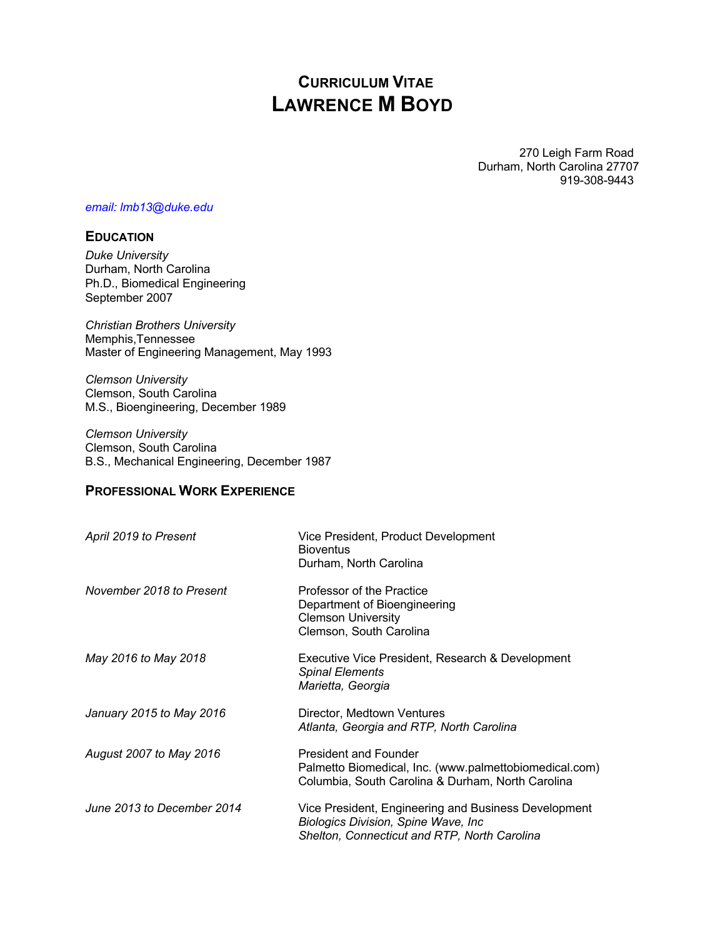# **CURRICULUM VITAE LAWRENCE M BOYD**

270 Leigh Farm Road Durham, North Carolina 27707 919-308-9443

#### *email: lmb13@duke.edu*

## **EDUCATION**

*Duke University* Durham, North Carolina Ph.D., Biomedical Engineering September 2007

*Christian Brothers University* Memphis,Tennessee Master of Engineering Management, May 1993

*Clemson University* Clemson, South Carolina M.S., Bioengineering, December 1989

*Clemson University* Clemson, South Carolina B.S., Mechanical Engineering, December 1987

# **PROFESSIONAL WORK EXPERIENCE**

| April 2019 to Present      | Vice President, Product Development<br><b>Bioventus</b><br>Durham, North Carolina                                                            |
|----------------------------|----------------------------------------------------------------------------------------------------------------------------------------------|
| November 2018 to Present   | Professor of the Practice<br>Department of Bioengineering<br><b>Clemson University</b><br>Clemson, South Carolina                            |
| May 2016 to May 2018       | Executive Vice President, Research & Development<br><b>Spinal Elements</b><br>Marietta, Georgia                                              |
| January 2015 to May 2016   | Director, Medtown Ventures<br>Atlanta, Georgia and RTP, North Carolina                                                                       |
| August 2007 to May 2016    | <b>President and Founder</b><br>Palmetto Biomedical, Inc. (www.palmettobiomedical.com)<br>Columbia, South Carolina & Durham, North Carolina  |
| June 2013 to December 2014 | Vice President, Engineering and Business Development<br>Biologics Division, Spine Wave, Inc.<br>Shelton, Connecticut and RTP, North Carolina |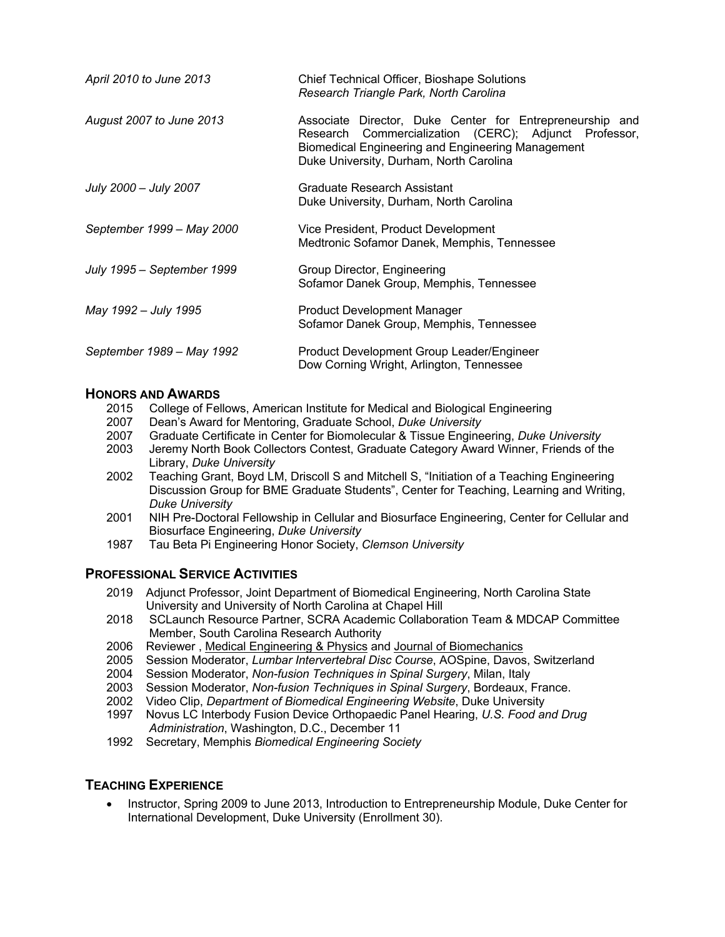| April 2010 to June 2013    | <b>Chief Technical Officer, Bioshape Solutions</b><br>Research Triangle Park, North Carolina                                                                                                                      |
|----------------------------|-------------------------------------------------------------------------------------------------------------------------------------------------------------------------------------------------------------------|
| August 2007 to June 2013   | Associate Director, Duke Center for Entrepreneurship and<br>Research Commercialization (CERC); Adjunct Professor,<br>Biomedical Engineering and Engineering Management<br>Duke University, Durham, North Carolina |
| July 2000 - July 2007      | Graduate Research Assistant<br>Duke University, Durham, North Carolina                                                                                                                                            |
| September 1999 - May 2000  | Vice President, Product Development<br>Medtronic Sofamor Danek, Memphis, Tennessee                                                                                                                                |
| July 1995 - September 1999 | Group Director, Engineering<br>Sofamor Danek Group, Memphis, Tennessee                                                                                                                                            |
| May 1992 – July 1995       | <b>Product Development Manager</b><br>Sofamor Danek Group, Memphis, Tennessee                                                                                                                                     |
| September 1989 – May 1992  | Product Development Group Leader/Engineer<br>Dow Corning Wright, Arlington, Tennessee                                                                                                                             |

### **HONORS AND AWARDS**

- 2015 College of Fellows, American Institute for Medical and Biological Engineering
- 2007 Dean's Award for Mentoring, Graduate School, *Duke University*
- 2007 Graduate Certificate in Center for Biomolecular & Tissue Engineering, *Duke University*
- Jeremy North Book Collectors Contest, Graduate Category Award Winner, Friends of the Library, *Duke University*
- 2002 Teaching Grant, Boyd LM, Driscoll S and Mitchell S, "Initiation of a Teaching Engineering Discussion Group for BME Graduate Students", Center for Teaching, Learning and Writing, *Duke University*
- 2001 NIH Pre-Doctoral Fellowship in Cellular and Biosurface Engineering, Center for Cellular and Biosurface Engineering, *Duke University*
- 1987 Tau Beta Pi Engineering Honor Society, *Clemson University*

## **PROFESSIONAL SERVICE ACTIVITIES**

- 2019 Adjunct Professor, Joint Department of Biomedical Engineering, North Carolina State University and University of North Carolina at Chapel Hill
- 2018 SCLaunch Resource Partner, SCRA Academic Collaboration Team & MDCAP Committee Member, South Carolina Research Authority
- 2006 Reviewer , Medical Engineering & Physics and Journal of Biomechanics
- 2005 Session Moderator, *Lumbar Intervertebral Disc Course*, AOSpine, Davos, Switzerland
- 2004 Session Moderator, *Non-fusion Techniques in Spinal Surgery*, Milan, Italy
- 2003 Session Moderator, *Non-fusion Techniques in Spinal Surgery*, Bordeaux, France.
- 2002 Video Clip, *Department of Biomedical Engineering Website*, Duke University
- 1997 Novus LC Interbody Fusion Device Orthopaedic Panel Hearing, *U.S. Food and Drug Administration*, Washington, D.C., December 11
- 1992 Secretary, Memphis *Biomedical Engineering Society*

### **TEACHING EXPERIENCE**

• Instructor, Spring 2009 to June 2013, Introduction to Entrepreneurship Module, Duke Center for International Development, Duke University (Enrollment 30).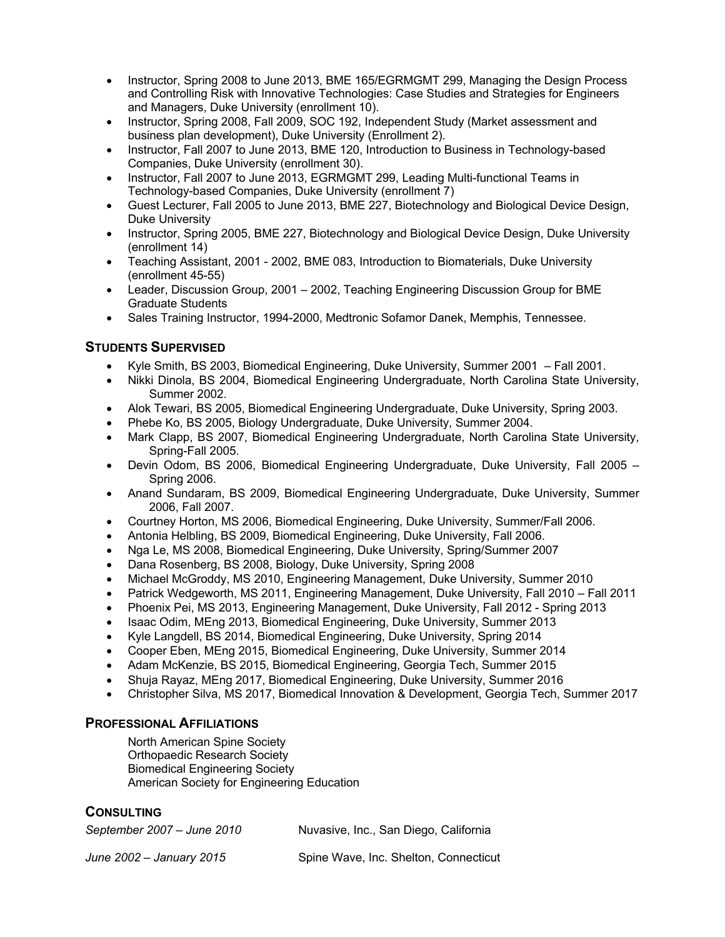- Instructor, Spring 2008 to June 2013, BME 165/EGRMGMT 299, Managing the Design Process and Controlling Risk with Innovative Technologies: Case Studies and Strategies for Engineers and Managers, Duke University (enrollment 10).
- Instructor, Spring 2008, Fall 2009, SOC 192, Independent Study (Market assessment and business plan development), Duke University (Enrollment 2).
- Instructor, Fall 2007 to June 2013, BME 120, Introduction to Business in Technology-based Companies, Duke University (enrollment 30).
- Instructor, Fall 2007 to June 2013, EGRMGMT 299, Leading Multi-functional Teams in Technology-based Companies, Duke University (enrollment 7)
- Guest Lecturer, Fall 2005 to June 2013, BME 227, Biotechnology and Biological Device Design, Duke University
- Instructor, Spring 2005, BME 227, Biotechnology and Biological Device Design, Duke University (enrollment 14)
- Teaching Assistant, 2001 2002, BME 083, Introduction to Biomaterials, Duke University (enrollment 45-55)
- Leader, Discussion Group, 2001 2002, Teaching Engineering Discussion Group for BME Graduate Students
- Sales Training Instructor, 1994-2000, Medtronic Sofamor Danek, Memphis, Tennessee.

# **STUDENTS SUPERVISED**

- Kyle Smith, BS 2003, Biomedical Engineering, Duke University, Summer 2001 Fall 2001.
- Nikki Dinola, BS 2004, Biomedical Engineering Undergraduate, North Carolina State University, Summer 2002.
- Alok Tewari, BS 2005, Biomedical Engineering Undergraduate, Duke University, Spring 2003.
- Phebe Ko, BS 2005, Biology Undergraduate, Duke University, Summer 2004.
- Mark Clapp, BS 2007, Biomedical Engineering Undergraduate, North Carolina State University, Spring-Fall 2005.
- Devin Odom, BS 2006, Biomedical Engineering Undergraduate, Duke University, Fall 2005 Spring 2006.
- Anand Sundaram, BS 2009, Biomedical Engineering Undergraduate, Duke University, Summer 2006, Fall 2007.
- Courtney Horton, MS 2006, Biomedical Engineering, Duke University, Summer/Fall 2006.
- Antonia Helbling, BS 2009, Biomedical Engineering, Duke University, Fall 2006.
- Nga Le, MS 2008, Biomedical Engineering, Duke University, Spring/Summer 2007
- Dana Rosenberg, BS 2008, Biology, Duke University, Spring 2008
- Michael McGroddy, MS 2010, Engineering Management, Duke University, Summer 2010
- Patrick Wedgeworth, MS 2011, Engineering Management, Duke University, Fall 2010 Fall 2011
- Phoenix Pei, MS 2013, Engineering Management, Duke University, Fall 2012 Spring 2013
- Isaac Odim, MEng 2013, Biomedical Engineering, Duke University, Summer 2013
- Kyle Langdell, BS 2014, Biomedical Engineering, Duke University, Spring 2014
- Cooper Eben, MEng 2015, Biomedical Engineering, Duke University, Summer 2014
- Adam McKenzie, BS 2015, Biomedical Engineering, Georgia Tech, Summer 2015
- Shuja Rayaz, MEng 2017, Biomedical Engineering, Duke University, Summer 2016
- Christopher Silva, MS 2017, Biomedical Innovation & Development, Georgia Tech, Summer 2017

### **PROFESSIONAL AFFILIATIONS**

North American Spine Society Orthopaedic Research Society Biomedical Engineering Society American Society for Engineering Education

# **CONSULTING**

| September 2007 - June 2010 | Nuvasive, Inc., San Diego, California |
|----------------------------|---------------------------------------|
| June 2002 - January 2015   | Spine Wave, Inc. Shelton, Connecticut |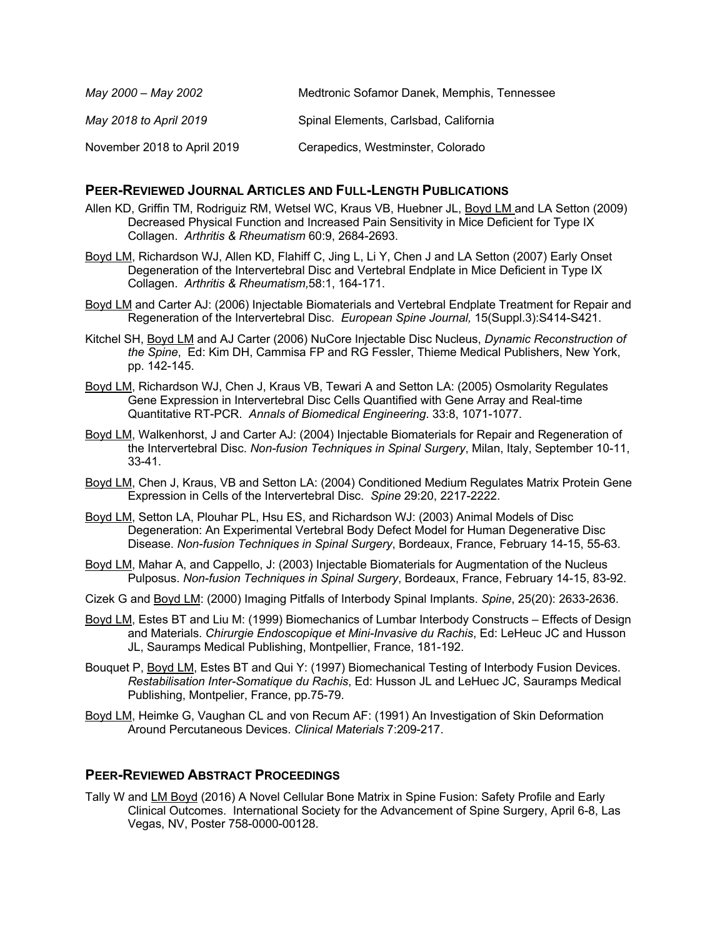| May 2000 – May 2002         | Medtronic Sofamor Danek, Memphis, Tennessee |
|-----------------------------|---------------------------------------------|
| May 2018 to April 2019      | Spinal Elements, Carlsbad, California       |
| November 2018 to April 2019 | Cerapedics, Westminster, Colorado           |

#### **PEER-REVIEWED JOURNAL ARTICLES AND FULL-LENGTH PUBLICATIONS**

- Allen KD, Griffin TM, Rodriguiz RM, Wetsel WC, Kraus VB, Huebner JL, Boyd LM and LA Setton (2009) Decreased Physical Function and Increased Pain Sensitivity in Mice Deficient for Type IX Collagen. *Arthritis & Rheumatism* 60:9, 2684-2693.
- Boyd LM, Richardson WJ, Allen KD, Flahiff C, Jing L, Li Y, Chen J and LA Setton (2007) Early Onset Degeneration of the Intervertebral Disc and Vertebral Endplate in Mice Deficient in Type IX Collagen. *Arthritis & Rheumatism,*58:1, 164-171.
- Boyd LM and Carter AJ: (2006) Injectable Biomaterials and Vertebral Endplate Treatment for Repair and Regeneration of the Intervertebral Disc. *European Spine Journal,* 15(Suppl.3):S414-S421.
- Kitchel SH, Boyd LM and AJ Carter (2006) NuCore Injectable Disc Nucleus, *Dynamic Reconstruction of the Spine*, Ed: Kim DH, Cammisa FP and RG Fessler, Thieme Medical Publishers, New York, pp. 142-145.
- Boyd LM, Richardson WJ, Chen J, Kraus VB, Tewari A and Setton LA: (2005) Osmolarity Regulates Gene Expression in Intervertebral Disc Cells Quantified with Gene Array and Real-time Quantitative RT-PCR. *Annals of Biomedical Engineering*. 33:8, 1071-1077.
- Boyd LM, Walkenhorst, J and Carter AJ: (2004) Injectable Biomaterials for Repair and Regeneration of the Intervertebral Disc. *Non-fusion Techniques in Spinal Surgery*, Milan, Italy, September 10-11, 33-41.
- Boyd LM, Chen J, Kraus, VB and Setton LA: (2004) Conditioned Medium Regulates Matrix Protein Gene Expression in Cells of the Intervertebral Disc. *Spine* 29:20, 2217-2222.
- Boyd LM, Setton LA, Plouhar PL, Hsu ES, and Richardson WJ: (2003) Animal Models of Disc Degeneration: An Experimental Vertebral Body Defect Model for Human Degenerative Disc Disease. *Non-fusion Techniques in Spinal Surgery*, Bordeaux, France, February 14-15, 55-63.
- Boyd LM, Mahar A, and Cappello, J: (2003) Injectable Biomaterials for Augmentation of the Nucleus Pulposus. *Non-fusion Techniques in Spinal Surgery*, Bordeaux, France, February 14-15, 83-92.
- Cizek G and Boyd LM: (2000) Imaging Pitfalls of Interbody Spinal Implants. *Spine*, 25(20): 2633-2636.
- Boyd LM, Estes BT and Liu M: (1999) Biomechanics of Lumbar Interbody Constructs Effects of Design and Materials. *Chirurgie Endoscopique et Mini-Invasive du Rachis*, Ed: LeHeuc JC and Husson JL, Sauramps Medical Publishing, Montpellier, France, 181-192.
- Bouquet P, Boyd LM, Estes BT and Qui Y: (1997) Biomechanical Testing of Interbody Fusion Devices. *Restabilisation Inter-Somatique du Rachis*, Ed: Husson JL and LeHuec JC, Sauramps Medical Publishing, Montpelier, France, pp.75-79.
- Boyd LM, Heimke G, Vaughan CL and von Recum AF: (1991) An Investigation of Skin Deformation Around Percutaneous Devices. *Clinical Materials* 7:209-217.

### **PEER-REVIEWED ABSTRACT PROCEEDINGS**

Tally W and LM Boyd (2016) A Novel Cellular Bone Matrix in Spine Fusion: Safety Profile and Early Clinical Outcomes. International Society for the Advancement of Spine Surgery, April 6-8, Las Vegas, NV, Poster 758-0000-00128.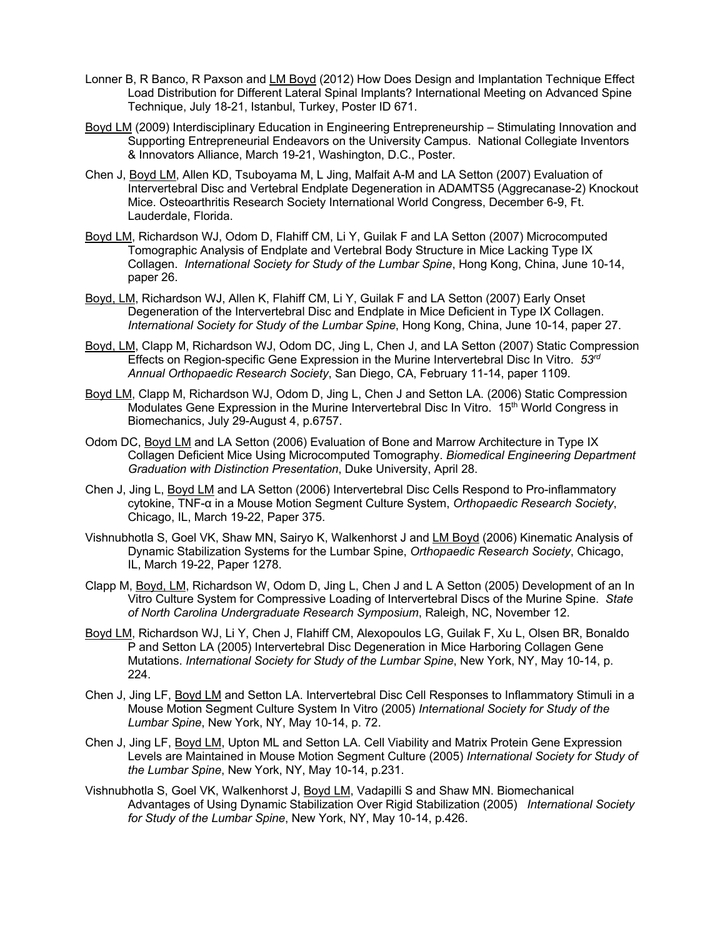- Lonner B, R Banco, R Paxson and LM Boyd (2012) How Does Design and Implantation Technique Effect Load Distribution for Different Lateral Spinal Implants? International Meeting on Advanced Spine Technique, July 18-21, Istanbul, Turkey, Poster ID 671.
- Boyd LM (2009) Interdisciplinary Education in Engineering Entrepreneurship Stimulating Innovation and Supporting Entrepreneurial Endeavors on the University Campus. National Collegiate Inventors & Innovators Alliance, March 19-21, Washington, D.C., Poster.
- Chen J, Boyd LM, Allen KD, Tsuboyama M, L Jing, Malfait A-M and LA Setton (2007) Evaluation of Intervertebral Disc and Vertebral Endplate Degeneration in ADAMTS5 (Aggrecanase-2) Knockout Mice. Osteoarthritis Research Society International World Congress, December 6-9, Ft. Lauderdale, Florida.
- Boyd LM, Richardson WJ, Odom D, Flahiff CM, Li Y, Guilak F and LA Setton (2007) Microcomputed Tomographic Analysis of Endplate and Vertebral Body Structure in Mice Lacking Type IX Collagen. *International Society for Study of the Lumbar Spine*, Hong Kong, China, June 10-14, paper 26.
- Boyd, LM, Richardson WJ, Allen K, Flahiff CM, Li Y, Guilak F and LA Setton (2007) Early Onset Degeneration of the Intervertebral Disc and Endplate in Mice Deficient in Type IX Collagen. *International Society for Study of the Lumbar Spine*, Hong Kong, China, June 10-14, paper 27.
- Boyd, LM, Clapp M, Richardson WJ, Odom DC, Jing L, Chen J, and LA Setton (2007) Static Compression Effects on Region-specific Gene Expression in the Murine Intervertebral Disc In Vitro. *53rd Annual Orthopaedic Research Society*, San Diego, CA, February 11-14, paper 1109.
- Boyd LM, Clapp M, Richardson WJ, Odom D, Jing L, Chen J and Setton LA. (2006) Static Compression Modulates Gene Expression in the Murine Intervertebral Disc In Vitro. 15<sup>th</sup> World Congress in Biomechanics, July 29-August 4, p.6757.
- Odom DC, Boyd LM and LA Setton (2006) Evaluation of Bone and Marrow Architecture in Type IX Collagen Deficient Mice Using Microcomputed Tomography. *Biomedical Engineering Department Graduation with Distinction Presentation*, Duke University, April 28.
- Chen J, Jing L, Boyd LM and LA Setton (2006) Intervertebral Disc Cells Respond to Pro-inflammatory cytokine, TNF-α in a Mouse Motion Segment Culture System, *Orthopaedic Research Society*, Chicago, IL, March 19-22, Paper 375.
- Vishnubhotla S, Goel VK, Shaw MN, Sairyo K, Walkenhorst J and LM Boyd (2006) Kinematic Analysis of Dynamic Stabilization Systems for the Lumbar Spine, *Orthopaedic Research Society*, Chicago, IL, March 19-22, Paper 1278.
- Clapp M, Boyd, LM, Richardson W, Odom D, Jing L, Chen J and L A Setton (2005) Development of an In Vitro Culture System for Compressive Loading of Intervertebral Discs of the Murine Spine. *State of North Carolina Undergraduate Research Symposium*, Raleigh, NC, November 12.
- Boyd LM, Richardson WJ, Li Y, Chen J, Flahiff CM, Alexopoulos LG, Guilak F, Xu L, Olsen BR, Bonaldo P and Setton LA (2005) Intervertebral Disc Degeneration in Mice Harboring Collagen Gene Mutations. *International Society for Study of the Lumbar Spine*, New York, NY, May 10-14, p. 224.
- Chen J, Jing LF, Boyd LM and Setton LA. Intervertebral Disc Cell Responses to Inflammatory Stimuli in a Mouse Motion Segment Culture System In Vitro (2005) *International Society for Study of the Lumbar Spine*, New York, NY, May 10-14, p. 72.
- Chen J, Jing LF, Boyd LM, Upton ML and Setton LA. Cell Viability and Matrix Protein Gene Expression Levels are Maintained in Mouse Motion Segment Culture (2005) *International Society for Study of the Lumbar Spine*, New York, NY, May 10-14, p.231.
- Vishnubhotla S, Goel VK, Walkenhorst J, Boyd LM, Vadapilli S and Shaw MN. Biomechanical Advantages of Using Dynamic Stabilization Over Rigid Stabilization (2005) *International Society for Study of the Lumbar Spine*, New York, NY, May 10-14, p.426.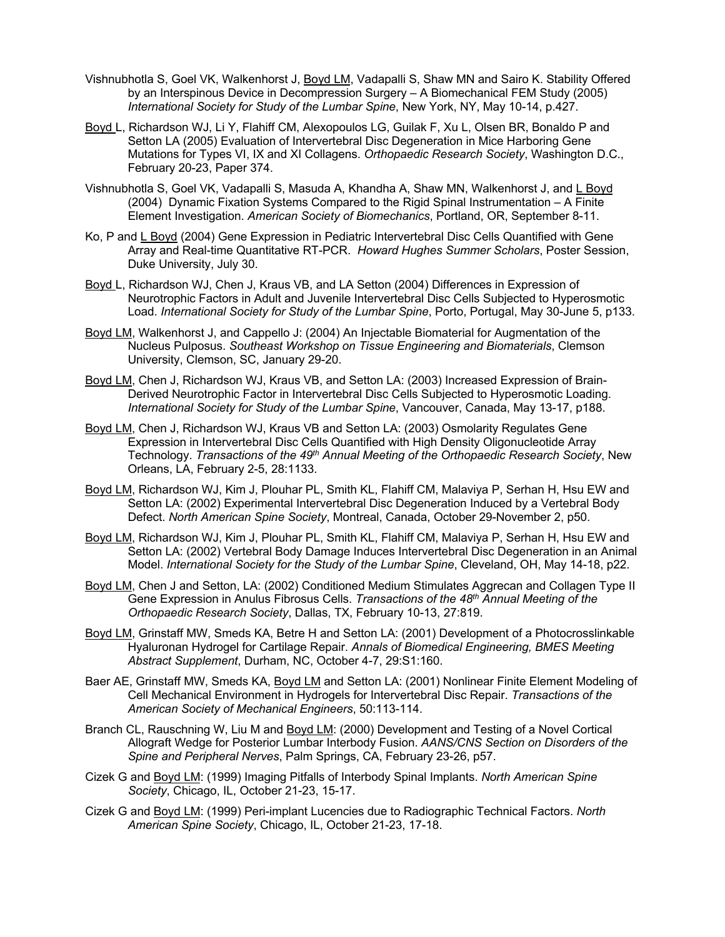- Vishnubhotla S, Goel VK, Walkenhorst J, Boyd LM, Vadapalli S, Shaw MN and Sairo K. Stability Offered by an Interspinous Device in Decompression Surgery – A Biomechanical FEM Study (2005) *International Society for Study of the Lumbar Spine*, New York, NY, May 10-14, p.427.
- Boyd L, Richardson WJ, Li Y, Flahiff CM, Alexopoulos LG, Guilak F, Xu L, Olsen BR, Bonaldo P and Setton LA (2005) Evaluation of Intervertebral Disc Degeneration in Mice Harboring Gene Mutations for Types VI, IX and XI Collagens. *Orthopaedic Research Society*, Washington D.C., February 20-23, Paper 374.
- Vishnubhotla S, Goel VK, Vadapalli S, Masuda A, Khandha A, Shaw MN, Walkenhorst J, and L Boyd (2004) Dynamic Fixation Systems Compared to the Rigid Spinal Instrumentation – A Finite Element Investigation. *American Society of Biomechanics*, Portland, OR, September 8-11.
- Ko, P and L Boyd (2004) Gene Expression in Pediatric Intervertebral Disc Cells Quantified with Gene Array and Real-time Quantitative RT-PCR. *Howard Hughes Summer Scholars*, Poster Session, Duke University, July 30.
- Boyd L, Richardson WJ, Chen J, Kraus VB, and LA Setton (2004) Differences in Expression of Neurotrophic Factors in Adult and Juvenile Intervertebral Disc Cells Subjected to Hyperosmotic Load. *International Society for Study of the Lumbar Spine*, Porto, Portugal, May 30-June 5, p133.
- Boyd LM, Walkenhorst J, and Cappello J: (2004) An Injectable Biomaterial for Augmentation of the Nucleus Pulposus. *Southeast Workshop on Tissue Engineering and Biomaterials*, Clemson University, Clemson, SC, January 29-20.
- Boyd LM, Chen J, Richardson WJ, Kraus VB, and Setton LA: (2003) Increased Expression of Brain-Derived Neurotrophic Factor in Intervertebral Disc Cells Subjected to Hyperosmotic Loading. *International Society for Study of the Lumbar Spine*, Vancouver, Canada, May 13-17, p188.
- Boyd LM, Chen J, Richardson WJ, Kraus VB and Setton LA: (2003) Osmolarity Regulates Gene Expression in Intervertebral Disc Cells Quantified with High Density Oligonucleotide Array Technology. *Transactions of the 49th Annual Meeting of the Orthopaedic Research Society*, New Orleans, LA, February 2-5, 28:1133.
- Boyd LM, Richardson WJ, Kim J, Plouhar PL, Smith KL, Flahiff CM, Malaviya P, Serhan H, Hsu EW and Setton LA: (2002) Experimental Intervertebral Disc Degeneration Induced by a Vertebral Body Defect. *North American Spine Society*, Montreal, Canada, October 29-November 2, p50.
- Boyd LM, Richardson WJ, Kim J, Plouhar PL, Smith KL, Flahiff CM, Malaviya P, Serhan H, Hsu EW and Setton LA: (2002) Vertebral Body Damage Induces Intervertebral Disc Degeneration in an Animal Model. *International Society for the Study of the Lumbar Spine*, Cleveland, OH, May 14-18, p22.
- Boyd LM, Chen J and Setton, LA: (2002) Conditioned Medium Stimulates Aggrecan and Collagen Type II Gene Expression in Anulus Fibrosus Cells. *Transactions of the 48th Annual Meeting of the Orthopaedic Research Society*, Dallas, TX, February 10-13, 27:819.
- Boyd LM, Grinstaff MW, Smeds KA, Betre H and Setton LA: (2001) Development of a Photocrosslinkable Hyaluronan Hydrogel for Cartilage Repair. *Annals of Biomedical Engineering, BMES Meeting Abstract Supplement*, Durham, NC, October 4-7, 29:S1:160.
- Baer AE, Grinstaff MW, Smeds KA, Boyd LM and Setton LA: (2001) Nonlinear Finite Element Modeling of Cell Mechanical Environment in Hydrogels for Intervertebral Disc Repair. *Transactions of the American Society of Mechanical Engineers*, 50:113-114.
- Branch CL, Rauschning W, Liu M and Boyd LM: (2000) Development and Testing of a Novel Cortical Allograft Wedge for Posterior Lumbar Interbody Fusion. *AANS/CNS Section on Disorders of the Spine and Peripheral Nerves*, Palm Springs, CA, February 23-26, p57.
- Cizek G and Boyd LM: (1999) Imaging Pitfalls of Interbody Spinal Implants. *North American Spine Society*, Chicago, IL, October 21-23, 15-17.
- Cizek G and Boyd LM: (1999) Peri-implant Lucencies due to Radiographic Technical Factors. *North American Spine Society*, Chicago, IL, October 21-23, 17-18.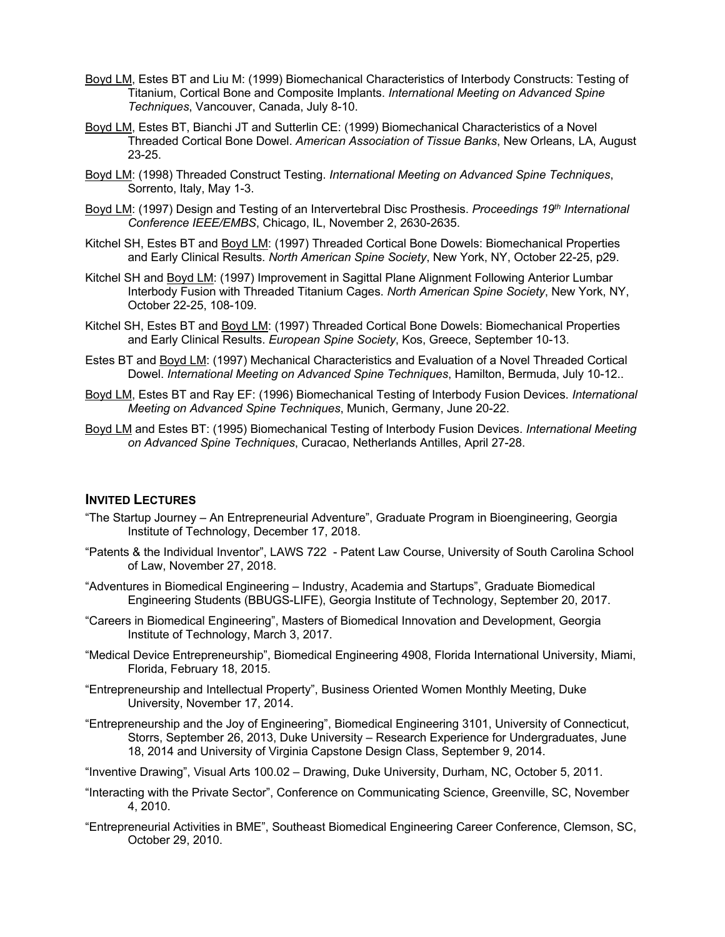- Boyd LM, Estes BT and Liu M: (1999) Biomechanical Characteristics of Interbody Constructs: Testing of Titanium, Cortical Bone and Composite Implants. *International Meeting on Advanced Spine Techniques*, Vancouver, Canada, July 8-10.
- Boyd LM, Estes BT, Bianchi JT and Sutterlin CE: (1999) Biomechanical Characteristics of a Novel Threaded Cortical Bone Dowel. *American Association of Tissue Banks*, New Orleans, LA, August 23-25.
- Boyd LM: (1998) Threaded Construct Testing. *International Meeting on Advanced Spine Techniques*, Sorrento, Italy, May 1-3.
- Boyd LM: (1997) Design and Testing of an Intervertebral Disc Prosthesis. *Proceedings 19th International Conference IEEE/EMBS*, Chicago, IL, November 2, 2630-2635.
- Kitchel SH, Estes BT and Boyd LM: (1997) Threaded Cortical Bone Dowels: Biomechanical Properties and Early Clinical Results. *North American Spine Society*, New York, NY, October 22-25, p29.
- Kitchel SH and Boyd LM: (1997) Improvement in Sagittal Plane Alignment Following Anterior Lumbar Interbody Fusion with Threaded Titanium Cages. *North American Spine Society*, New York, NY, October 22-25, 108-109.
- Kitchel SH, Estes BT and Boyd LM: (1997) Threaded Cortical Bone Dowels: Biomechanical Properties and Early Clinical Results. *European Spine Society*, Kos, Greece, September 10-13.
- Estes BT and Boyd LM: (1997) Mechanical Characteristics and Evaluation of a Novel Threaded Cortical Dowel. *International Meeting on Advanced Spine Techniques*, Hamilton, Bermuda, July 10-12..
- Boyd LM, Estes BT and Ray EF: (1996) Biomechanical Testing of Interbody Fusion Devices. *International Meeting on Advanced Spine Techniques*, Munich, Germany, June 20-22.
- Boyd LM and Estes BT: (1995) Biomechanical Testing of Interbody Fusion Devices. *International Meeting on Advanced Spine Techniques*, Curacao, Netherlands Antilles, April 27-28.

### **INVITED LECTURES**

- "The Startup Journey An Entrepreneurial Adventure", Graduate Program in Bioengineering, Georgia Institute of Technology, December 17, 2018.
- "Patents & the Individual Inventor", LAWS 722 Patent Law Course, University of South Carolina School of Law, November 27, 2018.
- "Adventures in Biomedical Engineering Industry, Academia and Startups", Graduate Biomedical Engineering Students (BBUGS-LIFE), Georgia Institute of Technology, September 20, 2017.
- "Careers in Biomedical Engineering", Masters of Biomedical Innovation and Development, Georgia Institute of Technology, March 3, 2017.
- "Medical Device Entrepreneurship", Biomedical Engineering 4908, Florida International University, Miami, Florida, February 18, 2015.
- "Entrepreneurship and Intellectual Property", Business Oriented Women Monthly Meeting, Duke University, November 17, 2014.
- "Entrepreneurship and the Joy of Engineering", Biomedical Engineering 3101, University of Connecticut, Storrs, September 26, 2013, Duke University – Research Experience for Undergraduates, June 18, 2014 and University of Virginia Capstone Design Class, September 9, 2014.

"Inventive Drawing", Visual Arts 100.02 – Drawing, Duke University, Durham, NC, October 5, 2011.

- "Interacting with the Private Sector", Conference on Communicating Science, Greenville, SC, November 4, 2010.
- "Entrepreneurial Activities in BME", Southeast Biomedical Engineering Career Conference, Clemson, SC, October 29, 2010.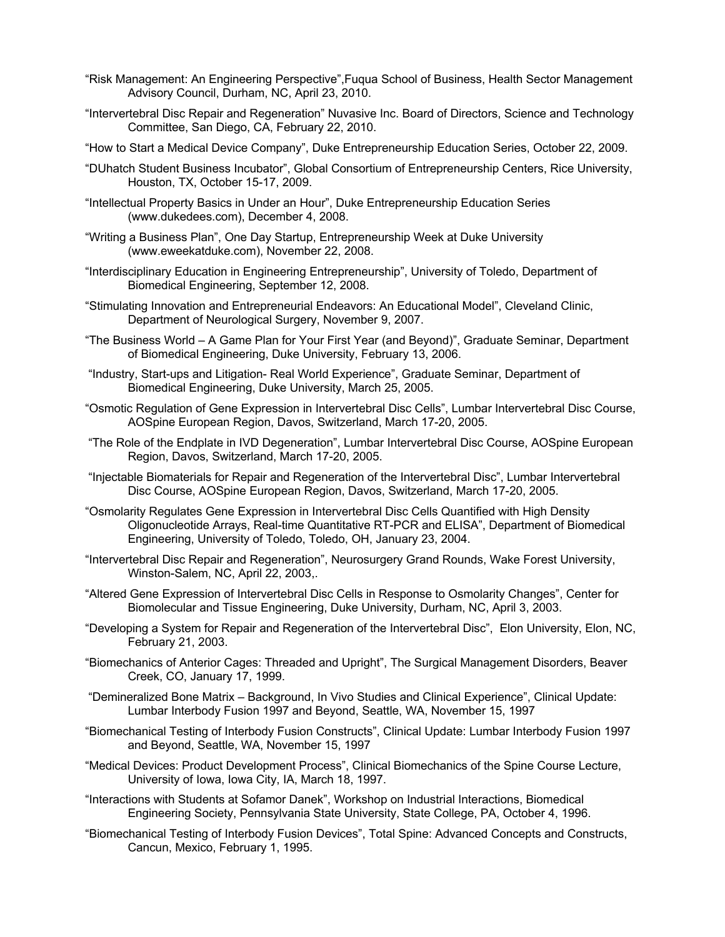- "Risk Management: An Engineering Perspective",Fuqua School of Business, Health Sector Management Advisory Council, Durham, NC, April 23, 2010.
- "Intervertebral Disc Repair and Regeneration" Nuvasive Inc. Board of Directors, Science and Technology Committee, San Diego, CA, February 22, 2010.
- "How to Start a Medical Device Company", Duke Entrepreneurship Education Series, October 22, 2009.
- "DUhatch Student Business Incubator", Global Consortium of Entrepreneurship Centers, Rice University, Houston, TX, October 15-17, 2009.
- "Intellectual Property Basics in Under an Hour", Duke Entrepreneurship Education Series (www.dukedees.com), December 4, 2008.
- "Writing a Business Plan", One Day Startup, Entrepreneurship Week at Duke University (www.eweekatduke.com), November 22, 2008.
- "Interdisciplinary Education in Engineering Entrepreneurship", University of Toledo, Department of Biomedical Engineering, September 12, 2008.
- "Stimulating Innovation and Entrepreneurial Endeavors: An Educational Model", Cleveland Clinic, Department of Neurological Surgery, November 9, 2007.
- "The Business World A Game Plan for Your First Year (and Beyond)", Graduate Seminar, Department of Biomedical Engineering, Duke University, February 13, 2006.
- "Industry, Start-ups and Litigation- Real World Experience", Graduate Seminar, Department of Biomedical Engineering, Duke University, March 25, 2005.
- "Osmotic Regulation of Gene Expression in Intervertebral Disc Cells", Lumbar Intervertebral Disc Course, AOSpine European Region, Davos, Switzerland, March 17-20, 2005.
- "The Role of the Endplate in IVD Degeneration", Lumbar Intervertebral Disc Course, AOSpine European Region, Davos, Switzerland, March 17-20, 2005.
- "Injectable Biomaterials for Repair and Regeneration of the Intervertebral Disc", Lumbar Intervertebral Disc Course, AOSpine European Region, Davos, Switzerland, March 17-20, 2005.
- "Osmolarity Regulates Gene Expression in Intervertebral Disc Cells Quantified with High Density Oligonucleotide Arrays, Real-time Quantitative RT-PCR and ELISA", Department of Biomedical Engineering, University of Toledo, Toledo, OH, January 23, 2004.
- "Intervertebral Disc Repair and Regeneration", Neurosurgery Grand Rounds, Wake Forest University, Winston-Salem, NC, April 22, 2003,.
- "Altered Gene Expression of Intervertebral Disc Cells in Response to Osmolarity Changes", Center for Biomolecular and Tissue Engineering, Duke University, Durham, NC, April 3, 2003.
- "Developing a System for Repair and Regeneration of the Intervertebral Disc", Elon University, Elon, NC, February 21, 2003.
- "Biomechanics of Anterior Cages: Threaded and Upright", The Surgical Management Disorders, Beaver Creek, CO, January 17, 1999.
- "Demineralized Bone Matrix Background, In Vivo Studies and Clinical Experience", Clinical Update: Lumbar Interbody Fusion 1997 and Beyond, Seattle, WA, November 15, 1997
- "Biomechanical Testing of Interbody Fusion Constructs", Clinical Update: Lumbar Interbody Fusion 1997 and Beyond, Seattle, WA, November 15, 1997
- "Medical Devices: Product Development Process", Clinical Biomechanics of the Spine Course Lecture, University of Iowa, Iowa City, IA, March 18, 1997.
- "Interactions with Students at Sofamor Danek", Workshop on Industrial Interactions, Biomedical Engineering Society, Pennsylvania State University, State College, PA, October 4, 1996.
- "Biomechanical Testing of Interbody Fusion Devices", Total Spine: Advanced Concepts and Constructs, Cancun, Mexico, February 1, 1995.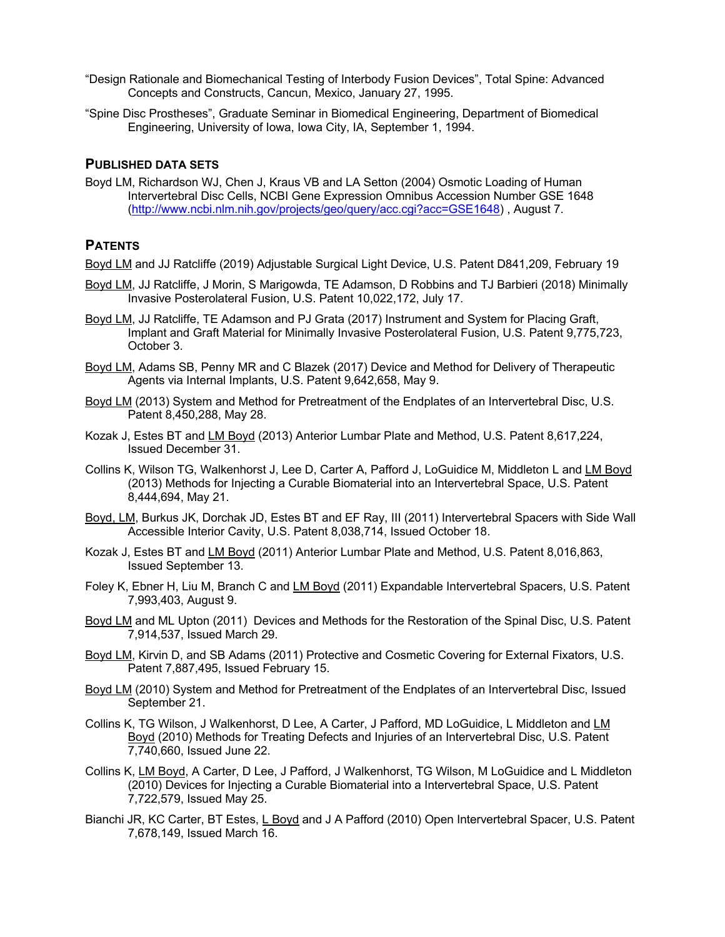- "Design Rationale and Biomechanical Testing of Interbody Fusion Devices", Total Spine: Advanced Concepts and Constructs, Cancun, Mexico, January 27, 1995.
- "Spine Disc Prostheses", Graduate Seminar in Biomedical Engineering, Department of Biomedical Engineering, University of Iowa, Iowa City, IA, September 1, 1994.

#### **PUBLISHED DATA SETS**

Boyd LM, Richardson WJ, Chen J, Kraus VB and LA Setton (2004) Osmotic Loading of Human Intervertebral Disc Cells, NCBI Gene Expression Omnibus Accession Number GSE 1648 (http://www.ncbi.nlm.nih.gov/projects/geo/query/acc.cgi?acc=GSE1648) , August 7.

#### **PATENTS**

Boyd LM and JJ Ratcliffe (2019) Adjustable Surgical Light Device, U.S. Patent D841,209, February 19

- Boyd LM, JJ Ratcliffe, J Morin, S Marigowda, TE Adamson, D Robbins and TJ Barbieri (2018) Minimally Invasive Posterolateral Fusion, U.S. Patent 10,022,172, July 17.
- Boyd LM, JJ Ratcliffe, TE Adamson and PJ Grata (2017) Instrument and System for Placing Graft, Implant and Graft Material for Minimally Invasive Posterolateral Fusion, U.S. Patent 9,775,723, October 3.
- Boyd LM, Adams SB, Penny MR and C Blazek (2017) Device and Method for Delivery of Therapeutic Agents via Internal Implants, U.S. Patent 9,642,658, May 9.
- Boyd LM (2013) System and Method for Pretreatment of the Endplates of an Intervertebral Disc, U.S. Patent 8,450,288, May 28.
- Kozak J, Estes BT and LM Boyd (2013) Anterior Lumbar Plate and Method, U.S. Patent 8,617,224, Issued December 31.
- Collins K, Wilson TG, Walkenhorst J, Lee D, Carter A, Pafford J, LoGuidice M, Middleton L and LM Boyd (2013) Methods for Injecting a Curable Biomaterial into an Intervertebral Space, U.S. Patent 8,444,694, May 21.
- Boyd, LM, Burkus JK, Dorchak JD, Estes BT and EF Ray, III (2011) Intervertebral Spacers with Side Wall Accessible Interior Cavity, U.S. Patent 8,038,714, Issued October 18.
- Kozak J, Estes BT and LM Boyd (2011) Anterior Lumbar Plate and Method, U.S. Patent 8,016,863, Issued September 13.
- Foley K, Ebner H, Liu M, Branch C and LM Boyd (2011) Expandable Intervertebral Spacers, U.S. Patent 7,993,403, August 9.
- Boyd LM and ML Upton (2011) Devices and Methods for the Restoration of the Spinal Disc, U.S. Patent 7,914,537, Issued March 29.
- Boyd LM, Kirvin D, and SB Adams (2011) Protective and Cosmetic Covering for External Fixators, U.S. Patent 7,887,495, Issued February 15.
- Boyd LM (2010) System and Method for Pretreatment of the Endplates of an Intervertebral Disc, Issued September 21.
- Collins K, TG Wilson, J Walkenhorst, D Lee, A Carter, J Pafford, MD LoGuidice, L Middleton and LM Boyd (2010) Methods for Treating Defects and Injuries of an Intervertebral Disc, U.S. Patent 7,740,660, Issued June 22.
- Collins K, LM Boyd, A Carter, D Lee, J Pafford, J Walkenhorst, TG Wilson, M LoGuidice and L Middleton (2010) Devices for Injecting a Curable Biomaterial into a Intervertebral Space, U.S. Patent 7,722,579, Issued May 25.
- Bianchi JR, KC Carter, BT Estes, L Boyd and J A Pafford (2010) Open Intervertebral Spacer, U.S. Patent 7,678,149, Issued March 16.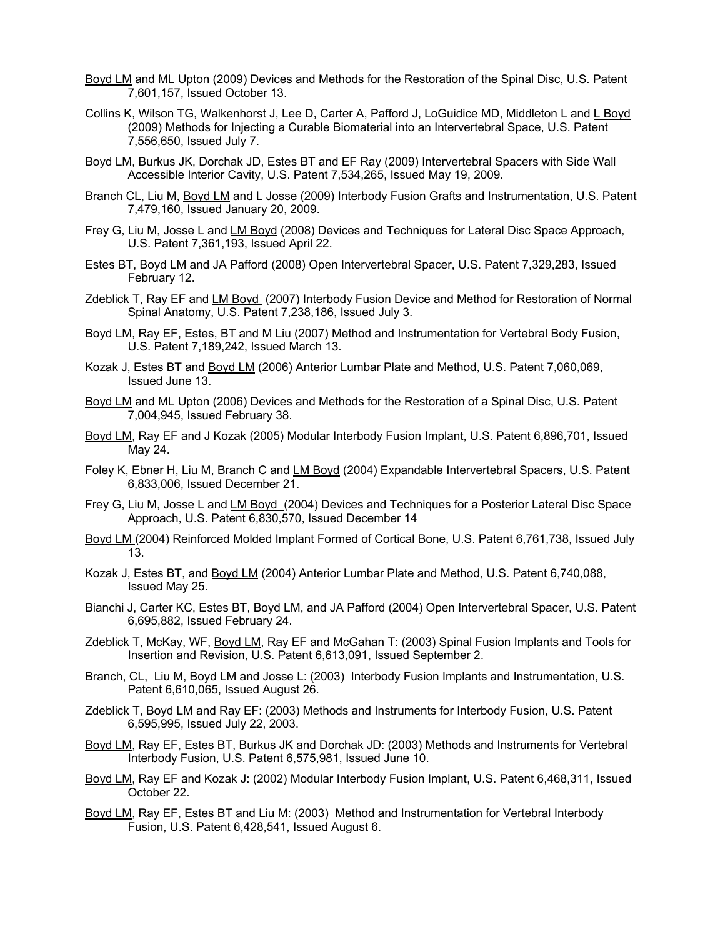- Boyd LM and ML Upton (2009) Devices and Methods for the Restoration of the Spinal Disc, U.S. Patent 7,601,157, Issued October 13.
- Collins K, Wilson TG, Walkenhorst J, Lee D, Carter A, Pafford J, LoGuidice MD, Middleton L and L Boyd (2009) Methods for Injecting a Curable Biomaterial into an Intervertebral Space, U.S. Patent 7,556,650, Issued July 7.
- Boyd LM, Burkus JK, Dorchak JD, Estes BT and EF Ray (2009) Intervertebral Spacers with Side Wall Accessible Interior Cavity, U.S. Patent 7,534,265, Issued May 19, 2009.
- Branch CL, Liu M, Boyd LM and L Josse (2009) Interbody Fusion Grafts and Instrumentation, U.S. Patent 7,479,160, Issued January 20, 2009.
- Frey G, Liu M, Josse L and LM Boyd (2008) Devices and Techniques for Lateral Disc Space Approach, U.S. Patent 7,361,193, Issued April 22.
- Estes BT, Boyd LM and JA Pafford (2008) Open Intervertebral Spacer, U.S. Patent 7,329,283, Issued February 12.
- Zdeblick T, Ray EF and LM Boyd (2007) Interbody Fusion Device and Method for Restoration of Normal Spinal Anatomy, U.S. Patent 7,238,186, Issued July 3.
- Boyd LM, Ray EF, Estes, BT and M Liu (2007) Method and Instrumentation for Vertebral Body Fusion, U.S. Patent 7,189,242, Issued March 13.
- Kozak J, Estes BT and Boyd LM (2006) Anterior Lumbar Plate and Method, U.S. Patent 7,060,069, Issued June 13.
- Boyd LM and ML Upton (2006) Devices and Methods for the Restoration of a Spinal Disc, U.S. Patent 7,004,945, Issued February 38.
- Boyd LM, Ray EF and J Kozak (2005) Modular Interbody Fusion Implant, U.S. Patent 6,896,701, Issued May 24.
- Foley K, Ebner H, Liu M, Branch C and LM Boyd (2004) Expandable Intervertebral Spacers, U.S. Patent 6,833,006, Issued December 21.
- Frey G, Liu M, Josse L and LM Boyd (2004) Devices and Techniques for a Posterior Lateral Disc Space Approach, U.S. Patent 6,830,570, Issued December 14
- Boyd LM (2004) Reinforced Molded Implant Formed of Cortical Bone, U.S. Patent 6,761,738, Issued July 13.
- Kozak J, Estes BT, and Boyd LM (2004) Anterior Lumbar Plate and Method, U.S. Patent 6,740,088, Issued May 25.
- Bianchi J, Carter KC, Estes BT, Boyd LM, and JA Pafford (2004) Open Intervertebral Spacer, U.S. Patent 6,695,882, Issued February 24.
- Zdeblick T, McKay, WF, Boyd LM, Ray EF and McGahan T: (2003) Spinal Fusion Implants and Tools for Insertion and Revision, U.S. Patent 6,613,091, Issued September 2.
- Branch, CL, Liu M, Boyd LM and Josse L: (2003) Interbody Fusion Implants and Instrumentation, U.S. Patent 6,610,065, Issued August 26.
- Zdeblick T, Boyd LM and Ray EF: (2003) Methods and Instruments for Interbody Fusion, U.S. Patent 6,595,995, Issued July 22, 2003.
- Boyd LM, Ray EF, Estes BT, Burkus JK and Dorchak JD: (2003) Methods and Instruments for Vertebral Interbody Fusion, U.S. Patent 6,575,981, Issued June 10.
- Boyd LM, Ray EF and Kozak J: (2002) Modular Interbody Fusion Implant, U.S. Patent 6,468,311, Issued October 22.
- Boyd LM, Ray EF, Estes BT and Liu M: (2003) Method and Instrumentation for Vertebral Interbody Fusion, U.S. Patent 6,428,541, Issued August 6.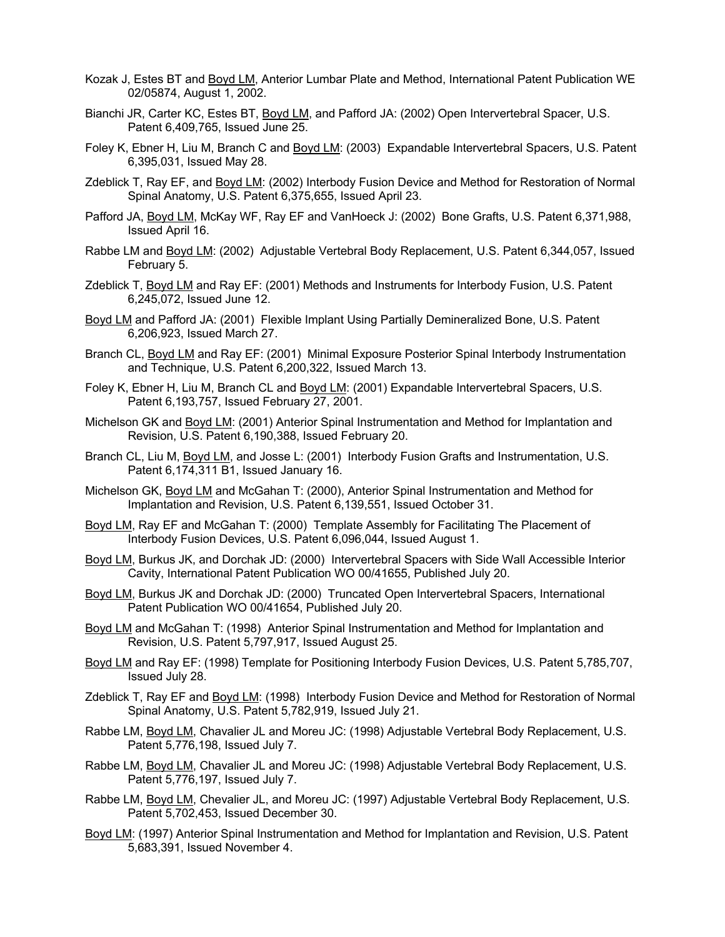- Kozak J, Estes BT and Boyd LM, Anterior Lumbar Plate and Method, International Patent Publication WE 02/05874, August 1, 2002.
- Bianchi JR, Carter KC, Estes BT, Boyd LM, and Pafford JA: (2002) Open Intervertebral Spacer, U.S. Patent 6,409,765, Issued June 25.
- Foley K, Ebner H, Liu M, Branch C and Boyd LM: (2003) Expandable Intervertebral Spacers, U.S. Patent 6,395,031, Issued May 28.
- Zdeblick T, Ray EF, and Boyd LM: (2002) Interbody Fusion Device and Method for Restoration of Normal Spinal Anatomy, U.S. Patent 6,375,655, Issued April 23.
- Pafford JA, Boyd LM, McKay WF, Ray EF and VanHoeck J: (2002) Bone Grafts, U.S. Patent 6,371,988, Issued April 16.
- Rabbe LM and Boyd LM: (2002) Adjustable Vertebral Body Replacement, U.S. Patent 6,344,057, Issued February 5.
- Zdeblick T, Boyd LM and Ray EF: (2001) Methods and Instruments for Interbody Fusion, U.S. Patent 6,245,072, Issued June 12.
- Boyd LM and Pafford JA: (2001) Flexible Implant Using Partially Demineralized Bone, U.S. Patent 6,206,923, Issued March 27.
- Branch CL, Boyd LM and Ray EF: (2001) Minimal Exposure Posterior Spinal Interbody Instrumentation and Technique, U.S. Patent 6,200,322, Issued March 13.
- Foley K, Ebner H, Liu M, Branch CL and Boyd LM: (2001) Expandable Intervertebral Spacers, U.S. Patent 6,193,757, Issued February 27, 2001.
- Michelson GK and Boyd LM: (2001) Anterior Spinal Instrumentation and Method for Implantation and Revision, U.S. Patent 6,190,388, Issued February 20.
- Branch CL, Liu M, Boyd LM, and Josse L: (2001) Interbody Fusion Grafts and Instrumentation, U.S. Patent 6,174,311 B1, Issued January 16.
- Michelson GK, Boyd LM and McGahan T: (2000), Anterior Spinal Instrumentation and Method for Implantation and Revision, U.S. Patent 6,139,551, Issued October 31.
- Boyd LM, Ray EF and McGahan T: (2000) Template Assembly for Facilitating The Placement of Interbody Fusion Devices, U.S. Patent 6,096,044, Issued August 1.
- Boyd LM, Burkus JK, and Dorchak JD: (2000) Intervertebral Spacers with Side Wall Accessible Interior Cavity, International Patent Publication WO 00/41655, Published July 20.
- Boyd LM, Burkus JK and Dorchak JD: (2000) Truncated Open Intervertebral Spacers, International Patent Publication WO 00/41654, Published July 20.
- Boyd LM and McGahan T: (1998) Anterior Spinal Instrumentation and Method for Implantation and Revision, U.S. Patent 5,797,917, Issued August 25.
- Boyd LM and Ray EF: (1998) Template for Positioning Interbody Fusion Devices, U.S. Patent 5,785,707, Issued July 28.
- Zdeblick T, Ray EF and Boyd LM: (1998) Interbody Fusion Device and Method for Restoration of Normal Spinal Anatomy, U.S. Patent 5,782,919, Issued July 21.
- Rabbe LM, Boyd LM, Chavalier JL and Moreu JC: (1998) Adjustable Vertebral Body Replacement, U.S. Patent 5,776,198, Issued July 7.
- Rabbe LM, Boyd LM, Chavalier JL and Moreu JC: (1998) Adjustable Vertebral Body Replacement, U.S. Patent 5,776,197, Issued July 7.
- Rabbe LM, Boyd LM, Chevalier JL, and Moreu JC: (1997) Adjustable Vertebral Body Replacement, U.S. Patent 5,702,453, Issued December 30.
- Boyd LM: (1997) Anterior Spinal Instrumentation and Method for Implantation and Revision, U.S. Patent 5,683,391, Issued November 4.